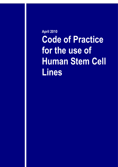**April 2010 Code of Practice for the use of Human Stem Cell Lines**

documentation and the company of the company of the company of the company of the company of the company of the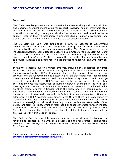## **Foreword**

This Code provides guidance on best practice for those working with stem cell lines and specifies oversight mechanisms for research involving human embryonic stem cell lines. It also sets out the requirements for the activities of the UK Stem Cell Bank in relation to procuring, storing and distributing human stem cell lines in order to support research that will help improve understanding of human development and disease and aid the generation of strategies to treat serious disease.

The UK Stem Cell Bank was established in 2003 in response to Government recommendations to facilitate the sharing and use of quality controlled human stem cell lines by the clinical and research communities. The Bank is overseen by an independent Steering Committee (the Steering Committee for the UK Stem Cell Bank and for the Use of Stem Cell Lines – hereafter called the Steering Committee), which has developed this Code of Practice to explain the role of the Steering Committee and to provide guidance and assistance on best practice to those working with stem cell lines.

In the UK, research involving human embryos, including the generation of human embryonic stem cell lines, is under statutory control by the Human Fertilisation and Embryology Authority (HFEA). Embryonic stem cell lines once established are not embryos and the Government has passed legislation that establishes that research involving such cell lines does not need the same level of regulation to which embryo research is subject to by the HFEA. However, as the generation of embryonic stem cell lines involves the destruction of human embryos, oversight in the form of a Steering Committee was recommended to ensure that research is conducted within an ethical framework that is transparent to the public and is in keeping with HFEA regulations. The oversight mechanisms governing research involving established human embryonic stem cell lines and this Code of Practice are voluntary. However, adherence is a HFEA licensing requirement in the UK and there is an expectation by Government that they are adhered to. In addition scientists have a desire for there to be ethical oversight of all work involving human embryonic stem cells. Other pluripotent stem cell lines, whether fetal, adult or those generated through induced pluripotency, are not subject to the same level of oversight by the Steering Committee, although the ethical considerations in relation to their derivation and use are covered within this Code of Practice.

This Code of Practice should be regarded as an evolving document which will be revised and updated in line with both practice and the requirements arising from relevant UK and EU legislation such as the Human Tissue Act and the EU Tissue and Cells Directive.

Comments on this document are welcomed and should be forwarded to: **[stemcellsecretary@headoffice.mrc.ac.uk.](mailto:stemcellsecretary@headoffice.mrc.ac.uk)**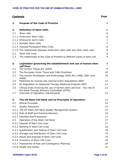| <b>Contents</b> |                                                                                                                        |                |
|-----------------|------------------------------------------------------------------------------------------------------------------------|----------------|
| 1.              | <b>Purpose of the Code of Practice</b>                                                                                 | 6              |
| 2.              | <b>Definition of Stem Cells</b>                                                                                        | 6              |
| 2.1             | Stem cells                                                                                                             | 6              |
|                 | 2.1.1 Embryonic Stem Cells                                                                                             | 6              |
|                 | 2.1.2 Embryonic Germ Cells                                                                                             | 7              |
|                 | 2.1.3 Somatic Stem Cells                                                                                               | $\overline{7}$ |
|                 | 2.1.4 Induced Pluripotent Stem Cells                                                                                   | 8              |
|                 | 2.1.5 The relationship between embryonic stem cells and other stem cells                                               | 8              |
| 2.2             | <b>Stem Cell Lines</b>                                                                                                 | 8              |
| 2.3             | The relationship of the Code of Practice to different types of stem cell                                               | 9              |
| 3.              | Legislation governing the establishment and use of human stem<br>cell lines                                            | 9              |
| 3.1             | The Human Tissue Act (2004)                                                                                            | 9              |
| 3.2             | The European Union Tissue and Cells Directives                                                                         | 10             |
| 3.3             | The Human Fertilisation and Embryology (HFE) Act (1990, 2001 and<br>2008)                                              | 10             |
| 3.4             | Medicines for Human Use (Clinical trials) Regulations 2004                                                             | 12             |
| 3.5             | EC Regulation on Advanced Therapy Medicinal Products 2007                                                              | 12             |
| 3.6             | Clinical trials involving the use of human stem cell lines - the role of<br>the Gene Therapy Advisory Committee (GTAC) | 12             |
| 3.7             | Overview of regulatory requirements                                                                                    | 13             |
| 4.              | The UK Stem Cell Bank and its Principles of Operation                                                                  | 13             |
| 4.1             | <b>Ethical Principles</b>                                                                                              | 14             |
| 4.2             | <b>Quality Assurance</b>                                                                                               | 15             |
|                 | 4.2.1 The UK Stem Cell Bank Quality Management System                                                                  | 15             |
|                 | 4.2.2 Role of Staff and External Advisors                                                                              | 16             |
|                 | 4.2.3 Facilities and Procedures                                                                                        | 17             |
| 4.3             | Operation of the Stem Cell Bank                                                                                        | 17             |
|                 | 4.3.1 Deposit of Stem Cell Lines                                                                                       | 17             |
|                 | 4.3.2 Banking of Stem Cell Lines                                                                                       | 18             |
|                 | 4.3.3 Qualification and Testing of Stem Cell Lines                                                                     | 18             |
|                 | 4.3.4 Storage and Distribution of Stem Cell Lines                                                                      | 19             |
|                 | 4.3.5 Recall and Disposal of Stem Cell Lines                                                                           | 19             |
|                 | 4.3.6 Inventory of Stem Cell Lines                                                                                     | 20             |
|                 | 4.3.7 Assessment of Risk and Contingency Planning                                                                      | 20             |
|                 | 4.3.8 Health and Safety                                                                                                | 21             |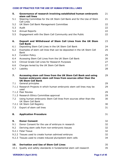| 5.               | Governance of research involving established human embryonic<br>stem cell lines                                                                           | 21 |
|------------------|-----------------------------------------------------------------------------------------------------------------------------------------------------------|----|
| 5.1              | Steering Committee for the UK Stem Cell Bank and for the Use of Stem<br>Cell Lines                                                                        | 21 |
| 5.2              | UK Stem Cell Bank Management Committee                                                                                                                    | 22 |
| 5.3              | Audit                                                                                                                                                     | 22 |
| 5.4              | <b>Annual Reports</b>                                                                                                                                     | 22 |
| 5.5              | Engagement with the Stem Cell Community and the Public                                                                                                    | 22 |
| 6.               | Deposit and Withdrawal of Stem Cell Lines from the UK Stem<br><b>Cell Bank</b>                                                                            | 23 |
| 6.1              | Depositing Stem Cell Lines in the UK Stem Cell Bank                                                                                                       | 24 |
| 6.2              | Examples of stem cell lines that can be deposited in the UK Stem Cell<br><b>Bank</b>                                                                      | 25 |
| 6.3              | <b>Curation Policy</b>                                                                                                                                    | 25 |
| 6.4              | Accessing Stem Cell Lines from the UK Stem Cell Bank                                                                                                      | 26 |
| 6.5              | Clinical Grade Cell Lines for Research Purposes                                                                                                           | 27 |
| 6.6              | Charges levied by the UK Stem Cell Bank                                                                                                                   | 27 |
| 6.7              | Liability                                                                                                                                                 | 28 |
| $\overline{z}$ . | Accessing stem cell lines from the UK Stem Cell Bank and using<br>human embryonic stem cell lines from sources other than the<br><b>UK Stem Cell Bank</b> | 29 |
| 7.1              | General principles                                                                                                                                        | 29 |
|                  | 7.1.1 Research Projects in which human embryonic stem cell lines may be<br>used                                                                           | 29 |
|                  | 7.1.2 Peer Review                                                                                                                                         | 29 |
|                  | 7.1.3 Research Ethics Committee approval                                                                                                                  | 29 |
| 7.2              | Using human embryonic Stem Cell lines from sources other than the<br>UK Stem Cell Bank                                                                    | 30 |
|                  | 7.2.1 UK Stem Cell Registry                                                                                                                               | 30 |
| 7.3              | Export of stem cell lines                                                                                                                                 | 31 |
| 8.               | <b>Application Procedure</b>                                                                                                                              | 31 |
| 9.               | <b>Donor Consent</b>                                                                                                                                      | 32 |
| 9.1              | Donor Consent for the use of embryos in research                                                                                                          | 32 |
| 9.2              | Deriving stem cells from non-embryonic tissues                                                                                                            | 32 |
|                  | 9.2.1 Fetal Tissue                                                                                                                                        | 32 |
|                  | 9.2.2 Tissues used to create human admixed embryos                                                                                                        | 32 |
|                  | 9.2.3 Tissues used to create induced pluripotent stem cells                                                                                               | 34 |
| 10.              | <b>Derivation and Use of Stem Cell Lines</b>                                                                                                              | 35 |
| 10.1             | Quality and safety standards in fundamental stem cell research                                                                                            | 35 |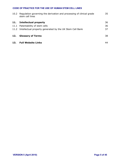| 10.2 | Regulation governing the derivation and processing of clinical grade<br>stem cell lines | 35 |
|------|-----------------------------------------------------------------------------------------|----|
| 11.  | <b>Intellectual property</b>                                                            | 36 |
| 11.1 | Patentability of stem cells                                                             | 36 |
|      | 11.2 Intellectual property generated by the UK Stem Cell Bank                           | 37 |
| 12.  | <b>Glossary of Terms</b>                                                                | 38 |
| 13.  | <b>Full Website Links</b>                                                               | 44 |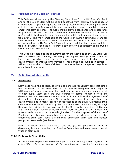# **1. Purpose of the Code of Practice**

This Code was drawn up by the Steering Committee for the UK Stem Cell Bank and for the Use of Stem Cell Lines and benefited from input by a wide range of stakeholders. It provides guidance on best practice for those working with stem cell lines and specifies oversight mechanisms for research involving human embryonic stem cell lines. The Code should provide confidence and reassurance to professionals and the public alike that stem cell research in the UK is performed to best practice and is conducted within a transparent and ethical framework. The main emphasis of the Code is on human embryonic stem cell lines. However, references to stem cell lines derived from other human tissues are included as the UK Stem Cell Bank will curate and distribute human cell lines from all sources. For ease of reference text referring specifically to embryonic stem cells has been italicised.

This Code also sets out the requirements for the activities of the UK Stem Cell Bank in relation to procuring, processing, testing and storing human stem cell lines, and providing those for basic and clinical research leading to the development of therapeutic interventions. These principles, outlined in section 4, will ensure that the UK Stem Cell Bank operates within a transparent, regulated and ethical framework.

# **2. Definition of stem cells**

## **2.1 Stem cells**

Stem cells have the capacity to divide to generate "daughter" cells that retain the properties of the stem cell, or to produce daughters that begin to "differentiate" into a more specialised cell type, or to produce one daughter cell of each type. Stem cells are thus central to normal human growth and development, and are also a potential source of new cells for the regeneration of diseased or damaged tissue. Stem cells are present at all stages of development, and in many (possibly most) tissues of the adult. At present, stem cells are impossible to identify by their physical characteristics alone, although they can be enriched in a population of cells. Stem cells from different tissues, and from different stages of development, vary in terms of the number and types of cells to which they normally give rise. For the purposes of this Code of Practice, the Steering Committee has defined four classes of stem cells: embryonic stem cells, somatic stem cells, embryonic germ cells and induced pluripotent stem cells (see below).

Until it is known which stem cells have the greatest potential in terms of developing human therapies, the Steering Committee endorses research on all types of stem cells.

## **2.1.1 Embryonic Stem Cells**

*At the earliest stages after fertilisation (up to about the eight cell stage) all the cells of the embryo are "totipotent" (i.e. they have the capacity to develop into*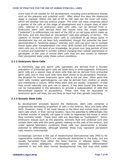*every type of cell needed for full development, including extra-embryonic tissues such as the placenta and umbilical cord). After about five days the blastocyst stage is reached. Within this ball of 50 to 100 cells lies the inner cell mass, which will develop into the embryo proper. The inner cell mass comprises about a quarter of the cells at this stage of development and a unique class of stem cells, referred to as embryonic stem (ES) cells, can be derived from it. Embryonic stem cells derived from the mouse have the innate capacity ("potential") to differentiate into each of the 200 or so cell types which make up the body, and are described as "pluripotent" (see also glossary of terms). The capacity of human embryonic stem cells to contribute to all tissue types in development has not yet been fully established, though this potential has been demonstrated in "teratoma assays" whereby such cells can give rise to multiple tissue types after transplantation into mice. Both human and mouse embryonic stem cells can, to the best of our knowledge, be grown over long periods of time in culture and expanded in number without changing their cellular phenotypes or genotypes. In the case of mouse stem cells they are also known to maintain their pluripotent state under these culture conditions.*

## **2.1.2 Embryonic Germ Cells**

In mammals, egg and sperm cells (gametes) are derived from a founder population of primordial germ cells set aside early in embryogenesis. Embryonic germ cells are a special class of stem cells that can be derived from primordial germ cells, and in mice such cells have been shown to be pluripotent. However, the situation for human embryonic germ cells is not yet clear. Other germ-line stem cells, notably spermatogonia, can also be derived from children or adults and maintained in culture. While these stem cells are usually "unipotent", in that they would naturally only give rise to sperm, it has been found that these too can be manipulated in the laboratory to provide a subpopulation of cells that demonstrate aspects of pluripotency. These cells may be equivalent to embryonic germ cell lines, but are likely to have lost their genetic imprinting.

## **2.1.3 Somatic Stem Cells**

As development proceeds beyond the blastocyst, stem cells comprise a progressively decreasing proportion of cells in the embryo, fetus and body after birth. However, many, if not most tissues in the fetus and human body contain stem cells which, in their normal location, have the potential to differentiate into a limited number of specific cell types in order to regenerate the tissue in which they normally reside. These stem cells are described as "multipotent". Extra embryonic tissues such as the placenta, amniotic fluid and umbilical cord also contain stem cells with the same genetic makeup as the cells of the embryo, and under special laboratory conditions these cells can demonstrate a broader potential to differentiate, although whether these truly represent pluripotent cells remains controversial.

Increasingly common is the use of mesenchymal stem/stromal cells (MSC's) for regenerative medicine. MSC's are ubiquitously distributed in the body, but are usually harvested from either the bone marrow or adipose tissue. They classically show adipogenic, chondrogenic and osteogenic differentiation potential in line with their normal developmental role, but may elicit subtle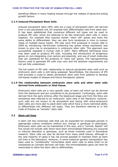beneficial effects in many healing tissues through the release of paracrine-acting growth factors.

## **2.1.4 Induced Pluripotent Stem Cells**

Induced pluripotent stem (iPS) cells are a type of pluripotent stem cell derived from a non-pluripotent cell, for example fully differentiated cells from adult skin. It has been established that numerous different cell types can be used to produce iPS cells, which are believed to be like embryonic stem cells in many respects. For example they express certain "stem cell" genes and show the same ability to differentiate; they can also form teratomas in mice (a tumour made of multiple tissue types). iPS cells were first produced in mouse cells in 2006 by introducing retroviruses containing key genes whose expression was known to give rise to pluripotency in embryonic stem cells. This approach was successfully repeated in human cells in 2007. Many different techniques have now been used to produce iPS cells, including the introduction of exogenous genes on non-integrating viral vectors and plasmids, and use of small molecules that can substitute for the products of "stem cell" genes. The reprogramming factors used to generate iPS cells may vary and the absolute requirements are not yet fully understood.

The full extent of iPS cells' relationship to natural pluripotent stem cells such as embryonic stem cells is still being assessed. Nevertheless, the discovery of iPS cells provides a route to obtain pluripotent stem cells from patients to develop cell-based models of disease and future therapeutic options.

## **2.1.5 The relationship between embryonic stem cells and other stem cells derived from embryonic or fetal tissue.**

*Embryonic stem cells are a very specific class of stem cell which can be derived from the blastocyst and are considered to be pluripotent.* Confusingly, stem cells derived from the early embryo after the blastocyst stage and from the fetus are sometimes also referred to as 'embryonic' stem cells in the literature; however, such cells are not known to be pluripotent and (along with extra-embryonic stem cells) are more akin to adult stem cells which have a more restricted ability to differentiate into different cell types. They are therefore referred to in this Code of Practice as "somatic" stem cells.

## **2.2 Stem cell lines**

A stem cell line comprises cells that can be expanded for prolonged periods in appropriate culture conditions without any change in genotype or phenotype. Embryonic stem cells can be maintained in this way, and a "normal, diploid" cell line would not include cells which have been immortalised following any acquired or induced alteration in genotype, such as those routinely used in biomedical research. Stem cells can also be derived from many adult tissues, although in the vast majority of cases it has not proved possible to maintain them as stem cell lines in the laboratory. However, in some instances genetic manipulation has been used to "conditionally" immortalise adult stem cells to allow them to be maintained as (clonally-derived) cell lines; the immortalisation gene can then be inactivated to allow the stem cells to differentiate.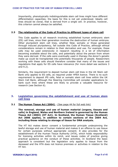Importantly, phenotypically indistinguishable stem cell lines might have different differentiation capacities; the basis for this is not yet understood. Ideally cell lines should be clonal, that is derived from a single cell. In practice, however, this criterion cannot always be satisfied.

## **2.3 The relationship of the Code of Practice to different types of stem cell**

This Code applies to all research involving established human embryonic stem (ES) cell lines, since their generation involves the destruction of human embryos. Other pluripotent stem cell lines, whether fetal, somatic or those generated through induced pluripotency, fall outside this Code of Practice, although ethical considerations remain in relation to their derivation and use. For example, these cells may be used extensively in research resulting in a lot of information becoming available about the cells, and potentially about the person from whom they were derived. If the cells were eventually used in therapy the donor's genetic make up could be transplanted into potentially thousands of people. Researchers working with these cells should therefore consider that many of the issues and regulations that apply for ES cells have relevance (for more detail see sections 3 and 9.2).

Similarly, the requirement to deposit human stem cell lines in the UK Stem cell Bank only applies to ES cells, as required under HFEA licence. There is no such requirement to deposit iPS cells, fetal or somatic stem cell lines within the UK Stem Cell Bank, although the Steering Committee will consider applications to bank such lines where these are likely to provide a valuable resource for research (see Section 6).

# **3. Legislation governing the establishment and use of human stem cell lines**

## **3.1 The [Human Tissue Act \(2004\)](http://www.legislation.hmso.gov.uk/acts/acts2004/20040030.htm)**  (See page 44 for full web link)

**The removal, storage and use of human material (organs, tissues and cells) in England, Wales and Northern Ireland is governed by the Human Tissue Act (2004) (HT Act). In Scotland, the Human Tissue (Scotland) Act 2006 applies, in addition to certain sections of the 2004 Act, including those relating to storage of tissue for DNA analysis.**

The HT Act makes donor consent a fundamental principle underpinning the lawful storage and use of human material and makes it an offence to use tissue for certain purposes without appropriate consent. It also provides for the establishment of the Human Tissue Authority (HTA), which holds responsibility for licensing activities within its remit, and issues codes of practice giving practical guidance on the conduct of these activities. In Scotland the basic approach is consistent but the legislation only applies to tissue from the deceased and the HTA does not licence premises or activities in relation to the HT Act.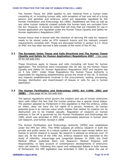The Human Tissue Act 2004 applies to any material from a human body consisting of, or including human cells, with exception of hair and nail of a living person, and gametes and embryos, which are separately regulated by the Human Fertilisation and Embryology Act 1990). Established cell lines as well as any other human material created outside the human body are excluded from the Act. However, it should be noted that cell lines that are intended for use in human application are regulated under the Human Tissue (Quality and Safety for Human Application) Regulations 2007.

Human tissue that is stored with the intention of deriving iPS cells for research needs to be stored under an HTA research licence and the relevant consent requirements complied with. These are discussed further in section 9.2.3. Once an iPSC line has been derived it falls outside of the remit of the HT Act.

## **3.2 The [European Union Tissue](http://www.hta.gov.uk/legislationpoliciesandcodesofpractice/legislation/eutissueandcellsdirectives.cfm) and Cells Directives and The Human Tissue (Quality and Safety for Human Application) Regulations 2007**  (See page 44 for full web link)

These Directives apply to tissues and cells (including cell lines) for human application. The Directives were transposed into UK law via the Human Tissue (Quality and Safety for Human Application) Regulations 2007 and became law on 5 July 2007. Under these Regulations the Human Tissue Authority is responsible for regulating establishments across the whole of the UK. It licences and inspects establishments involved in the procurement, testing, processing, storage, distribution and import/export of tissues or cells for use in human application.

## **3.3 The Human Fertilisation and Embryology (HFE) Act (1990, 2001 and 2008)**  [\(See page 44 for full web link\)](http://www.hmso.gov.uk/acts/acts1990/Ukpga_19900037_en_1.htm)

The special regulations which govern the creation and use of human embryonic stem cells reflect the fact that the human embryo has a special moral status. The position adopted by Parliament in this legislation is that the embryo, unlike an infant, does not have the full rights of a person. However, its human potential gives it an intrinsic value which implies that neither its creation nor its destruction are to be treated casually. Regulation of research on human embryos in the UK is governed by the Human Fertilisation and Embryology Act 1990, which was amended in 2001 to accommodate advances in human stem cell research, and further revised in 2008.

The Human Fertilisation and Embryology Authority (HFEA) was established under the HFE Act 1991. This HFEA subjects all embryo research in both the private and public sector to a robust system of case-by-case review before any license to permit research is issued. No research is allowed on embryos over 14 days old. At the time of the 1991 Act, embryo research was restricted to the study of infertility, miscarriage and congenital disease. In 2000, the Chief Medical Officer published *Stem Cell Research: Medical Progress with Responsibility,* to take account of contemporary developments in embryonic stem cell research. Following this report and widespread debate in both houses of Parliament, the HFE legislation was amended in 2001 to allow the use of

#### **VERSION 5 (April 2010) Page 10 of 45**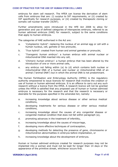embryos for stem cell research. The HFEA can license the derivation of stem cells from embryos that are: (i) surplus to IVF requirements, or (ii) created by IVF specifically for research purposes, or (iii) created by therapeutic cloning or somatic cell nuclear transfer (SCNT).

Further amendments were introduced in the HFE Act 2008 to allow for generation and use of defined categories of interspecies embryos, referred to as human admixed embryos (HAE) for research, subject to the same conditions that apply to human embryos.

The categories of HAE authorised in the Act are:

- a. '*Cytoplasmic hybrid'*: replacing the nucleus of an animal egg or cell with a human nucleus, cell, gamete or two pronuclei,
- b. '*True hybrid'*: created from human and animal gametes or pronuclei,
- c. '*Transgenic human embryo'*: a human embryo with animal nuclear or mitochondrial DNA inserted into any cell,
- d. '*Chimeric human embryo'*: a human embryo that has been altered by the introduction of one or more animal cells,
- e. any embryo not falling within (a) to (d) which contains both nuclear or mitochondrial DNA of a human and nuclear or mitochondrial DNA of an animal ("animal DNA") but in which the animal DNA is not predominant.

The Human Fertilisation and Embryology Authority (HFEA) is the regulatory authority empowered to issue licences for research that involves the creation or use of human or human admixed embryos. It is an offence to carry out any such research without a licence from the HFEA. A research licence will not be granted unless the HFEA is satisfied that any proposed use of human or human admixed embryos is necessary for the research and that the research is necessary or desirable for the purposes specified in the amended Act, namely:

- a. increasing knowledge about serious disease or other serious medical conditions,
- b. developing treatments for serious disease or other serious medical conditions,
- c. increasing knowledge about the causes of any congenital disease or congenital medical condition that does not fall within paragraph (a),
- d. promoting advances in the treatment of infertility,
- e. increasing knowledge about the causes of miscarriage,
- f. developing more effective techniques of contraception,
- g. developing methods for detecting the presence of gene, chromosome or mitochondrion abnormalities in embryos before implantation, or
- h. increasing knowledge about the development of embryos.

Human or human admixed embryos created for research purposes may not be implanted into a woman and must not be kept for longer than 14 days or the appearance of the primitive streak, whichever occurs first.

#### **VERSION 5 (April 2010) Page 11 of 45**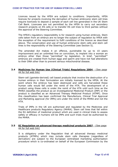Licences issued by the HFEA are subject to conditions. Importantly, HFEA licences for projects involving the derivation of human embryonic stem cell lines require licencees to deposit a sample of each cell line generated in the UK Stem Cell Bank. Licencees are not permitted by the HFEA to carry out secondary research projects on ES cells or to transfer ES cell lines to third parties without the approval of the Steering Committee.

The HFEA's regulatory responsibility is for research using human embryos. Stem cells taken from an embryo are no longer the subject of regulation by HFEA with the exception of the requirement to fulfil conditions of the licence as described above. The conservation and use of human embryonic stem cells and stem cell lines is the responsibility of the Steering Committee (see Section 5).

The amended Act makes it an offence, punishable by up to 10 years imprisonment and an unlimited fine on conviction, to implant into a woman an embryo other than those "permitted" by legislation. In brief, "permitted'" embryos are created from human eggs and sperm and have not had alterations to their DNA other than to prevent serious mitochondrial disease.

## **3.4 [Medicines for Human Use \(Clinical](http://www.uk-legislation.hmso.gov.uk/si/si2004/20041031.htm) Trials) Regulations 2004** (See page 44 for full web link)

Stem-cell (gamete-derived) cell based products that involve the destruction of a human embryo in their formulation are initially licensed by the HFEA. At the point where the embryo has been destroyed and cells are harvested these human cells would fall under the remit of the HTA. The development of a product using these cells is under the remit of the HTA until such time as the MHRA classifies the product as an Investigational Medicinal Product (IMP) or the product is classified as an Advanced Therapy Medicinal Product (ATMP). Once this classification has been confirmed the Manufacture, Clinical Trial Approval and Marketing approval (for IMPs) are under the remit of the MHRA and not the HTA.

Trials of IMPs in the UK are authorised and regulated by the Medicines and Healthcare products Regulatory Agency (MHRA). Stem cell lines that fall within the EU definition of medicinal product which are used in clinical trials to assess safety or efficacy in humans will be IMPs and such trials must be authorised by the MHRA.

## **3.5 [EC Regulation on advanced therapy medicinal products 2007](http://www.mhra.gov.uk/Howweregulate/Advancedtherapymedicinalproducts/index.htm)** (See page 44 for full web link)

It is obligatory under the Regulation that all advanced therapy medicinal products (ATMPs) which may include stem cells therapies (regardless of derivation) are subject to the European centralised marketing authorisation procedure which is co-ordinated on behalf of the European Commission by the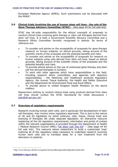European Medicines Agency (EMEA). Such submissions can be discussed with the MHRA $^{\rm 1}.$ 

## **3.6 Clinical trials involving the use of human stem cell lines the role of the Gene Therapy Advisory Committee (GTAC)** - (See page 44 for full web link)

GTAC has UK-wide responsibility for the ethical oversight of proposals to conduct clinical trials involving gene therapy or stem cell therapies derived from stem cell lines. It is both a Government Scientific Advisory Committee and a Research Ethics Committee formally recognised in statute. Its terms of reference are:

- To consider and advise on the acceptability of proposals for gene therapy research on human subjects, on ethical grounds, taking account of the scientific merits of the proposals and the potential benefits and risks.
- To consider and advise on the acceptability of proposals for research on human subjects using cells derived from stem cell lines, based on ethical grounds, taking account of the scientific merits of the proposals and the potential benefits and risks.
- · To provide ethical advice on the use of unlicensed gene therapy and stem cell line derived therapies in humans.
- To work with other agencies which have responsibilities in this field, including research ethics committees, and agencies with statutory responsibilities the Medicines and Healthcare products Regulatory Agency, the Human Tissue Authority, the Health and Safety Executive and the Department for Environment Food and Rural Affairs.
- · To provide advice to United Kingdom Health Ministers on the above matters.

Researchers wishing to conduct clinical trials using products derived from stem cell lines should contact the GTAC Secretariat for initial discussions ( [gtac@dh.gsi.gov.uk](mailto:gtac@dh.gsi.gov.uk)).

# **3.7 Overview of regulatory requirements**

Research involving human stem cells, and in particular the development of stem cell therapies, may involve many regulatory approvals. This is due to the nature of UK and EU legislation by which embryos, cells, tissue, clinical trials and licensing of therapies fall under separate legislation. An interactive resource explaining all the UK regulatory requirements, information and points of contact within the relevant organisations is provided through the Department of Health / Medical Research Council (MRC) ["UK Stem Cell](http://www.sc-toolkit.ac.uk/) Tool Kit" - (See page 44 for full web link). This resource allows researchers to build a customised 'map' outlining all of the regulatory steps necessary to undertake research involving human stem cells and to translate ideas for a new treatment from the laboratory to patients.

 $1$  http://www.mhra.gov.uk/Howweregulate/Advancedtherapymedicinalproducts/index.htm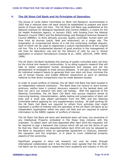# **4. [The UK Stem Cell Bank and its Principles of Operation](http://www.nibsc.ac.uk/divisions/cbi/stemcell.html)**

The House of Lords Select Committee on Stem Cell Research recommended in 2002 that a national stem cell bank should be established to prepare and store stocks of frozen stem cell lines. The UK Stem Cell Bank was established at the National Institute for Biological Standards and Control (NIBSC), a centre for the UK Health Protection Agency, in January 2003, with funding from the Medical Research Council (MRC) and the Biotechnology and Biological Sciences Research Council (BBSRC), to store ethically sourced, quality controlled, human stem cell lines from all sources (adult, fetal and embryonic) on a single site. The preparation of cryopreserved stocks of a cell line comprising multiple aliquots, each of which can be used to regenerate a culture representative of the original cell line. This is a fundamental element of good practice in the management of cell lines for laboratory use and for the delivery of cells for use in clinical application or product manufacture (Coecke et al., 2005; UKCCCR, 1999; WHO, 1998).

The UK Stem Cell Bank facilitates the sharing of quality controlled stem cell lines by the clinical and research communities. In so doing supports research that will help to better understand human development and disease and aid the development of strategies to treat serious diseases. It will also reduce the need for individual research teams to generate their own stem cell lines, minimise the use of human tissues, and enable different researchers to work on identical material so that direct comparisons may be made between studies.

In order to avoid conflicts of interest, the UK Stem Cell Bank has been located in an independent national institution. The Bank does not receive or store human embryos; neither does it conduct discovery research on the banked stem cell lines nor carry out research into stem cell biology. With the approval of the Steering Committee, the UK Stem Cell Bank may pursue research aimed at improving banking, characterisation, safety testing and preservation of stem cell lines and it must also obtain permission from the MRC and the Steering Committee before applying for any supplementary funding. All staff working for the UK Stem Cell Bank are required to refrain from activities that might represent a conflict of interest with the operation of the UK Stem Cell Bank as an independent organisation within the stem cell field and are required to submit information to the NIBSC register of conflicts of interest.

The UK Stem Cell Bank will store and distribute stem cell lines, but ownership of any Intellectual Property embodied in the these lines remains with the originator. To obtain stem cell lines deposited after April 2010 the requestor will be required to sign a Research Use Licence which will set out the terms of use for that line. Stem cell lines deposited before April 2010 will only be released by the Bank to requestors when an appropriate agreement or (licence), between the requestor and the originator, is in place to cover intellectual property aspects of line ownership.

Significant progress in stem cell research can only be made through international collaboration and it has therefore been agreed that the UK Stem Cell Bank can be accessed by researchers from academia and industry in the UK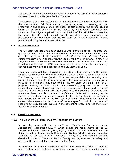and abroad. Overseas researchers have to undergo the same review procedures as researchers in the UK (see Section 7 and 8).

This section, along with sections 5 & 6, describes the standards of best practice that the UK Stem Cell Bank adopts in the procurement, processing, testing, preservation and supply of stem cell lines. It also specifies the criteria against which the UK Stem Cell Bank will be audited by the Steering Committee and sponsors. The diligent application and verification of the principles of operation laid down for the Bank should provide confidence and reassurance to professionals and the public that the UK Stem Cell Bank is adhering to best practice and complies with these principles.

## **4.1 Ethical Principles**

The UK Stem Cell Bank has been charged with providing ethically sourced and quality controlled adult, fetal and embryonic human stem cell lines for research and the development of therapies. *All UK researchers deriving human embryonic stem cell lines are required, as a condition of their HFEA licence, to lodge samples of their embryonic stem cell lines in the UK Stem Cell Bank.* This is not a requirement for iPSC and somatic cell lines, although appropriately derived lines may also be deposited in the UK Stem Cell Bank.

Embryonic stem cell lines derived in the UK are thus subject to the donor consent requirements of the HFEA, including those relating to donor anonymity. The Steering Committee (section 5.1) has responsibility for ensuring that essential donor consents, ethical approvals, licences and authorisations are in place for all stem cell lines deposited in the UK Stem Cell Bank, and for all projects receiving cell lines from it. For traceability purposes, copies of the signed donor consent forms relating to cell lines accepted for deposit in the UK Stem Cell Bank are lodged with the Secretary to the Steering Committee who maintains these records in strictest confidence. Information relating to the identity of the donors is neither revealed to the Steering Committee members nor, importantly, to staff of the UK Stem Cell Bank. Thus Bank staff have no contact whatsoever with the donors of the embryos from which the stem cell lines are derived, are not involved in the consenting process nor do they know the identities of the donors.

# **4.2 Quality Assurance**

# **4.2.1 The UK Stem Cell Bank Quality Management System**

In order to comply with the Human Tissues (Quality and Safety for Human Applications) Regulations (2007), which deliver the requirements of the EU Tissues and Cells Directive (2004/23/EC, 2006/17/EC and 2006/86/EC), the Bank has put in place a Quality Management System which covers all licensable activities as set out in HTA Directions. This Quality Management System, described in the UK Stem Cell Bank's Quality Manual, ensures the safety and quality of the stem cell lines prepared by the Bank.

An effective document management system has been established so that all relevant documents (policies, procedures, sample/user records, quality control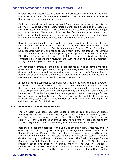records, training records etc.) relating to the processes carried out in the Bank are properly recorded. Documents are version controlled and archived to ensure that obsolete versions cannot be used.

Each cell line and the cell banks prepared from it must be correctly identified at all times. This is achieved by using unique identifiers traceable to the respective cell line's accession number. This is linked to the Steering Committee's unique application number. This system of unique identifiers maintains donor anonymity but still allows for traceability from donor to recipient or vice-versa in the event of a discovery which might significantly affect the health of the donor.

Records are maintained for each cell line. These provide evidence that the cell line has been procured, processed, tested, stored and released according to the procedures described in the Quality Management System. This information is held, together with the original application form, Materials Deposit Agreement and information on the cell line supplied by the depositor, in a Cell Line Master File. Once information including all test data has been received and the file completed it is independently reviewed and authorised by the Bank's Operations and Quality Managers or their designees.

Any deviations, errors, or anomalies in procedures as well as complaints from users are also managed within the Quality Management System. These are documented and reviewed and reported annually in the Bank's Annual Report. Resolution of such events is linked to a programme of preventative actions to assure continuous improvement in the Bank's operation.

In addition to the compliance reporting required by the HTA, the Bank operates a system of internal quality audits to monitor compliance with the HTA Directions, and identify areas for improvement in its quality system. These audits are planned and conducted by appropriately qualified individuals who are independent of the Bank's operational management. Inspections are performed by the Competent Authority, the HTA, which licences the Bank for the purposes of processing, testing, storage and distribution (including import and export) of cell lines intended for clinical use.

## **4.2.2 Role of Staff and External Advisors**

The UK Stem Cell Bank operates under a licence from the Human Tissue Authority. Under the Human Tissue Act (2004) and The Human Tissues (Quality and Safety for Human Applications) Regulations (2007), the Bank's Licence Holder (LH) and Designated Individual (DI) have primary (legal) responsibility for, and play a key role in implementing the requirements of the licence.

Responsibility for the operation of the Bank, as set out in HTA Directives, and for ensuring that staff comply with the Quality Management System lies with the Bank's Operations Manager. The Operations Manager reports directly to the Designated Individual in all matters relating to processing, testing, storage, distribution, import and export of stem cell lines. The Quality Manager for the Bank is responsible for quality assurance as defined in the HTA Directions and provides advice and support on quality matters. The Quality Manager is independent of the Bank and reports directly to the Licence Holder. Jointly, the Operations Manager and Quality Manager are responsible for authorising the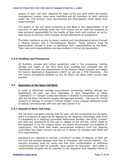release of stem cell lines. Deputies for each of the key post within the quality management system have been identified and all members of staff, working under the HTA licence, have documented job descriptions which detail their responsibilities.

The quality of the cell banks prepared by the Bank is the responsibility of all members of staff working under the HTA licence and all staff are expected to take personal responsibility for the quality of their work and maintain an up-todate record of training which includes annual statements of competency.

The Bank maintains access to expert medical and microbiological advice through a Medical Advisor and a Microbiological Advisor. These advisors must be appropriately trained in order to discharge their responsibilities to the Bank. Their roles and responsibilities are documented in formal job description.

## **4.2.3 Facilities and Procedures**

All facilities, process and critical equipment used in the processing, testing, storage and supply of cell lines have been qualified and validated and are maintained to meet the requirements of the Human Tissue (Quality and Safety for Human Application) Regulations (2007) as set out in HTA Directions. The cell culture procedures adopted by the UK Stem Cell Bank meet current best practice.

## **4.3 Operation of the Stem Cell Bank**

In order to effectively manage procurement, processing, testing, storage and distribution, all stem cell lines regardless of their designation as either "Laboratory" or "Clinical" Grade are banked in facilities by processes that comply with the UK Stem Cell Bank's Quality Management System. Cell lines for clinical research or therapy in humans ("Clinical Grade") must undergo additional levels of testing commensurate with risk (see also section 6.5).

#### **4.3.1 Deposit of Stem Cell Lines**

The UK Stem Cell Bank ensures that for each cell line accessioned by the Bank, there is evidence of approval for deposit by the Steering Committee; that there is traceability to a Steering Committee References Number (the SCSC number) and that any constraints on the use or release of the cell line, either made by the depositor or by the original donor are clearly documented and available to researchers. The Bank also seeks documented evidence from the Steering Committee that donor consent (as set out in section 9) complies with HFEA and HTA requirements.

Depositors are required to provide a minimum number of aliquots of their cell line from the earliest passage level that is consistent with proven viability. The samples provided must be viable and free from contamination or otherwise compromised such that its scientific value cannot be recovered. Non-viable or contaminated samples will be reported to the depositor and repeated failure to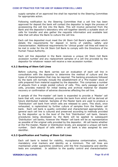supply samples of an approved line shall be reported to the Steering Committee for appropriate action.

Following notification by the Steering Committee that a cell line has been approved for deposit the bank will contact the depositor to begin the process of accessioning the cell line into the Bank. This will involve personnel from the Bank and the depositor's laboratory who will together identify a suitable stock of cells for transfer and also gather the requisite information and available test data that will allow the Bank to culture the cell line.

Each cell line deposited must meet the UK Stem Cell Bank's specification which details the requirements for deposit in terms of viability, safety and characterisation. Additional requirements for 'clinical grade' cell lines will need to be met in order for the UK Stem Cell Bank to comply with the Directions of the Human Tissue Authority.

Each cell line deposited in the Bank receives a unique UK Stem Cell Bank accession number and any replacement samples of a cell line provided by the depositor for whatever reason will receive a new accession number.

## **4.3.2 Banking of Stem Cell Lines**

Before culturing, the Bank carries out an evaluation of each cell line in consultation with the depositor to determine the method of culture and the types of characterisation that may be required. The banking procedures followed by the bank will normally include the establishment of a 'Premaster' stock of cells prepared from material supplied by the depositor. This comprises a number of aliquots from a single pooled culture of cells. This, early passage stock of cells, provides material for initial testing and archival material for disaster recovery or confirmation of adverse discoveries affecting the cell line.

A sample of the 'Pre-master' cell bank is expanded to provide a 'Master' cell bank that will, once established, provide the bank from which will be derived all future distributed material. Samples of the Master bank are used to produce a 'Distribution' cell bank from which cells are released to users. This stock, once exhausted, is replenished by further culture of samples from the Master cell bank. Each cell bank is quality controlled and characterised appropriately. In general each cell line is cultured and preserved according to methods provided by the depositor up to the level of the first 'Distribution' cell bank. Generic procedures being developed by the Bank will be applied to subsequent 'Distribution' cell banks; however the 'Master' cell bank will be as representative as possible of the original cells provided by the depositor. All cell banks whether at the Pre-master, Master or Distribution levels, are assigned a unique cell bank number. Each aliquot of cells within a cell bank is also assigned its own identifier.

## **4.3.3 Qualification and Testing of Stem Cell Lines**

Each cell bank is tested for viability, mycoplasma contamination, sterility, mandatory viral markers and identity as a minimum. The cell lines are maintained under quarantine conditions until the first mycoplasma and sterility tests are completed. In addition to the quality control and characterisation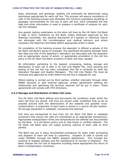tests, phenotypic and genotypic stability will eventually be determined using techniques appropriate for each cell line. This process will assure consistency of cells in the banking process and ultimately the minimum population doublings or passages recommended for the use of each cell line. Once completed the test data and other information is used to prepare a certificate of analysis for each cell line released.

Any genetic testing undertaken on the stem cell lines by the UK Stem Cell Bank is kept in strict confidence by the Bank unless otherwise approved by the Steering Committee. Any adverse discoveries of a genetic or infectious nature are discussed with the microbiological and medical advisors and where necessary the Steering Committee before appropriate action is taken.

On completion of the banking process the depositor is offered a sample of the UK Stem Cell Bank's stocks to evaluate. Any significant deviations between bank test data and that of the depositor's laboratory are discussed with the depositor and an appropriate course of action, or appropriate annotation in the cell line entry in the UK Stem Cell Bank inventory of stem cell lines, agreed.

All information pertaining to the deposit, processing, testing, storage and distribution of each cell is held in its Cell Line Master File. Once banking and testing of the cell line has been completed, this file is reviewed by both the Operation Manager and Quality Managers. The Cell Line Master File must be reviewed and approved by them before the cell line is released for use.

Where testing is carried out by third parties, whether internally through other NIBSC divisions or with external agencies, written agreements defining the relationship and specifying the services required will be put in place. These agreements will comply with HTA Directions.

## **4.3.4 Storage and Distribution of Stem Cell Lines**

The UK Stem Cell Bank defines and documents the conditions under which the stem cell lines are stored. Cell lines are stored under conditions that as far as possible prevent both the deterioration of the material and possible cross contamination. A proportion of each bank is stored in a secure off-site location. All storage equipment is validated, monitored and alarmed.

Cell lines are transported to and from the UK Stem Cell Bank in validated containers that ensure the cells are maintained at an appropriate temperature. Appropriate transportation times and temperatures are defined and documented by the Bank. It is the Bank's policy only to ship frozen or vitrified material. The UK Stem Cell Bank does not supply growing cultures of stem cells to third parties.

The Bank has put in place documented procedures for sales order processing and dispatch of stem cell lines to customers. Dispatch of cells is carried out under ISO9001 through the NIBSC dispatch department. This includes the tracking of shipped samples and the maintenance of records of shipment. The Bank charges the full cost of shipment including where appropriate the return of Bank's transportation containers.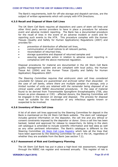The Bank's requirements, both for off-site storage and dispatch services, are the subject of written agreements which will comply with HTA Directions.

## **4.3.5 Recall and Disposal of Stem Cell Lines**

The UK Stem Cell Bank requires all depositors and users of stem cell lines and other third party service providers to have in place a procedure for adverse event and adverse incident reporting. The Bank has a documented procedure for the recall of lines in the event of an adverse incident or event and for reporting such events to the HTA. This procedure complies with the Human Tissues (Quality and Safety for Human Applications) Regulations (2007) and provides for:

- prevention of distribution of affected cell lines,
- · communication of recall notices to all relevant parties,
- reconciliation of returned lines,
- · storage quarantine and disposal of returned samples and
- assuring appropriate action in relation to adverse event reporting in compliance with the above mentioned regulation.

Disposal procedures for material are documented in the UK Stem Cell Bank quality management system and are compliant with local policy, the Human Tissue Act (2004) and the Human Tissue (Quality and Safety for Human Application) Regulations 2007.

*The Steering Committee requires that embryonic stem cell lines considered unsuitable for release are quarantined and archived rather than discarded. In the case of cell banks, where there are multiple samples in storage, only a limited number of units are retained with the remainder being disposed of as clinical waste under NIBSC documented procedures.* In the case of material found to be derived from Transmissible Spongiform Encephalopathy (TSE, also known as prion diseases or CJD) - affected donors, the Steering Committee will be engaged in the decision on storage and disposal. The process for disposal must be suitable for the inactivation of any infectious agents known or suspected to be involved.

#### **4.3.6 Inventory of Stem Cell Lines**

A list of all stem cell lines approved by the Steering Committee for deposit in the Bank is maintained on the UK Stem Cell Bank website. The stem cell 'catalogue' includes general information on the depositor, the cell line and any ethical or consent constraints imposed by the depositor or donor. Once a cell line has been banked, tested and approved for release to researchers, its listing in the stem cell catalogue is amended to include scientific information and test data as well as any other pertinent information. The Bank's catalogue is different to the Steering Committee UK Stem Cell Lines [Registry](http://www.mrc.ac.uk/Utilities/Documentrecord/index.htm?d=MRC003259) which lists all the lines that have been approved by the Steering Committee for use in the UK, regardless of whether they are available from the Bank (see section 7.2).

#### **4.3.7 Assessment of Risk and Contingency Planning**

The UK Stem Cell Bank has put in place a high-level risk assessment, managed through the NIBSC risk register and reviewed annually. This register of risk is

#### **VERSION 5 (April 2010) Page 20 of 45**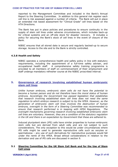reported to the Management Committee and included in the Bank's Annual Report to the Steering Committee. In addition to this general risk register each cell line is risk assessed against a number of criteria. The Bank will put in place an extended risk based assessment for "Clinical Grade" cell lines based on the HTA Directions.

The Bank has put in place policies and procedures to ensure continuity in the supply of stem cell lines under adverse circumstances, which includes back-up for critical systems and an off-site stock for disaster recovery. It includes a policy for securing the Bank's stock of cell lines in the event of closure of the Bank.

NIBSC ensures that all stored data is secure and regularly backed-up to secure storage. Access to the site and to the Bank is strictly controlled.

## **4.3.8 Health and Safety**

NIBSC operates a comprehensive health and safety policy in line with statutory requirements, including the appointment of a full-time safety adviser, and occupational health staff. A comprehensive safety training programme is provided to all members of staff on commencement of their employment and staff undergo mandatory refresher course at the NIBSC proscribed interval.

# **5. Governance of research involving established human embryonic stem cell lines**

*Unlike human embryos, embryonic stem cells do not have the potential to become a human person and do not therefore have the moral status of human embryos. Accordingly the Government has passed legislation that establishes that research involving established stem cell lines does not need the same regulation to which embryo research is subject to by the HFEA. However, as the generation of embryonic stem cell lines involves the destruction of human embryos, oversight in the form of a Steering Committee was recommended to ensure that research performed is in keeping with HFEA Regulations. The oversight mechanisms governing research involving established embryonic stem cell lines are voluntary. However, they are a condition of the statutory regulation in the UK and there is an expectation by Government that these are adhered to.*

Induced pluripotent stem (iPS) cells have similar properties to human embryonic stem cells but are derived from adult cells and are not subject to such considerations. The only exception to this would be under circumstances where iPS cells might be used to generate reproductive cells such as oocytes or spermatozoa – any use of such derivatives for reproductive purposes would fall under the remit of the HFEA. Broad ethical considerations in relation to the derivation and use of iPS cells are discussed in section 9.

## **5.1 [Steering Committee](http://www.mrc.ac.uk/Ourresearch/Ethicsresearchguidance/Stemcellbank/Steeringcommittee/index.htm) for the UK Stem Cell Bank and for the Use of Stem Cell Lines**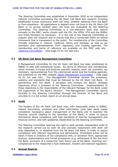The Steering Committee was established in December 2002 as an independent national committee overseeing the UK Stem Cell Bank and research involving established human embryonic stem cell lines, whether obtained from the Bank or from elsewhere. All applications to deposit stem cell lines in the UK Stem Cell Bank or to access banked stem cell lines are evaluated by the Steering Committee. The Steering Committee is a non-statutory body that reports annually to the MRC, works closely with the DH, the HFEA, HTA and the MHRA, and briefs Ministers as necessary. It is the role of the Steering Committee to support stem cell research and to ensure that this is conducted within an ethical framework that is transparent to the public. The membership of the Committee includes expertise in science, medicine, ethics and theology as well as lay members and representatives from regulatory and funding agencies. The membership and terms of reference are available on the MRC web site. [\(Steering Committee\)](http://www.mrc.ac.uk/Ourresearch/Ethicsresearchguidance/Stemcellbank/Steeringcommittee/index.htm) – (See page 43 for full web link)

## **5.2 [UK Stem Cell Bank Management Committee](http://www.mrc.ac.uk/Ourresearch/Ethicsresearchguidance/Stemcellbank/Managementcommittee/index.htm)**

A Management Committee for the UK Stem Cell Bank has been established by NIBSC to deal with operational issues. Its terms of reference and membership, which includes in-house and external scientific experts, stem cell scientists, lay members, representatives from the commercial sector and the funding agencies, are published on the MRC website  $(Bank Management Committee) - (See page)$  $(Bank Management Committee) - (See page)$  $(Bank Management Committee) - (See page)$ 43 for full web link). The Management Committee reviews the processes, systems and standards that must be followed by the UK Stem Cell Bank. In partnership with the Bank, it develops and reviews the Bank's strategic objectives which it presents to the Steering Committee. Implementation of these objectives is the responsibility of the relevant Manager for the Bank under the supervision of the Bank's Director. The Management Committee reports formally to the Steering Committee through the Director of the Bank and provides to it a full written report on an annual basis.

## **5.3 Audit**

The funders of the UK Stem Cell Bank may, with reasonable notice to NIBSC, inspect documents, practices and other information (and take away copies considered necessary) about management of the Bank and to examine the financial records relating to the operation of the Bank, in order to assure themselves about compliance with high standards of internal management and financial control, and with guidelines established by the Steering Committee.

The Steering Committee reserves the right to seek periodic independent audit of the research carried out by both UK and overseas researchers with stem cell lines deposited in, or obtained from the UK Stem Cell Bank, in order to assure compliance with relevant regulations and permissions. Immediate action will be taken if there is evidence of non-compliance with, or deviation from, appropriate licences, authorisations and formal procedures (e.g. withdrawal of the line from the Bank, exclusion of a researcher from future use of the Bank, reporting non compliances to the researcher's host Institution, funders and national regulators.

## **5.4 Annual Reports**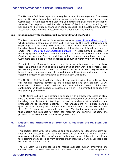The UK Stem Cell Bank reports on a regular basis to its Management Committee and the Steering Committee and an annual report, approved by Management Committee, is submitted to the Steering Committee and published on the Bank's website. This report should include reviews of bank activity, including cell banking and distribution, changes in staff, research and development, quality assurance audits and their outcomes, risk management and finance.

## **5.5 Engagement with the Stem Cell Community and the Public**

The Bank has established an independent website [\(www.ukstemcellbank.org.uk\)](http://www.ukstemcellbank.org.uk/) which includes a catalogue of stem cell lines held by the Bank, information on depositing and accessing cell lines and other useful information for users including links to other relevant websites. It has also established an enquiries email line [\(enquiries@ukstemcellbank.org.uk](mailto:enquiries@ukstemcellbank.org.uk)). A documented process for handling general enquiries and complaints has been established under the Quality Management System and targets for response times have been set. Customers can expect a formal response to enquiries within five working days.

Periodically, the Bank will contact researchers and other customers who have used the Bank's cell lines to obtain summaries of their work and compile these reports for presentation to users of the Bank. In this way users may be able to benefit from responses on use of the cell lines (both positive and negative data) obtained directly on cells provided by the UK Stem Cell Bank.

The UK Stem Cell Bank will also establish relationships with other national stem cell banking resource centres to share knowledge and best practice. It will continue to interact with national and international research initiatives, contributing on those aspects of research in which it is permitted to engage by the Steering Committee.

The UK Stem Cell Bank will continue to engage with all those interested in stem cells and their application through its ongoing programme of external activities including contributions to training courses, attendance at exhibitions and presentations at scientific meetings. This engagement will include periodic questionnaires to recipients of lines and communications via the UK National Stem Cell Network and its annual conference. The bank also supports activities that explain the rationale for stem cell research and banking, including the provision of suitable information to the general public.

# **6. Deposit and Withdrawal of Stem Cell Lines from the UK Stem Cell Bank**

This section deals with the processes and requirements for depositing stem cell lines in and accessing stem cell lines from the UK Stem Cell Bank. General principles underlying the use of human embryonic stem cell lines in the UK and for obtaining stem cell lines from sources other than the UK Stem Cell Bank can be found in sections 7 and 8.

The UK Stem Cell Bank stores and makes available human embryonic and somatic stem cell lines. The UK Stem Cell Bank does not store heterogeneous

#### **VERSION 5 (April 2010) Page 23 of 45**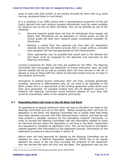pools of stem cells that contain or are merely enriched for stem cells (e.g. bone marrow, peripheral blood or cord blood).

*It is a condition of an HFEA licence that a representative proportion of the cell line(s) derived from each embryo donated altruistically must be made available for research use via the UK Stem Cell Bank. This can be satisfied by one of the following:* 

- *A. Deriving research grade stem cell lines for distribution from master cell banks, that themselves can be laboratory or clinical grade, so that all clinical grade cell lines have research grade counterparts available for distribution.*
- *B. Banking a subset from the separate cell lines that are sometimes obtained during the derivation process from a single embryo, provided each daughter cell line had appropriate ES cell characteristics.*
- *C. Other approaches may be possible that would lead to the desired end and these could be proposed by the depositor and discussed by the Steering Committee.*

*Consent procedures for these cell lines are audited by the HFEA. The Steering Committee also encourages the deposition of human embryonic stem cell lines derived outside the UK as well as somatic stem cell lines derived in the UK or abroad as long as these fulfil the criteria of informed consent and are of value to the research community.* 

*Derivatives of banked human embryonic stem cell lines, including genetically modified, abnormal or differentiated cells, do not need to be deposited in the Bank (unless this is a requirement of the funding agreement under which such lines were generated, for example funding from the UK Research Councils <sup>2</sup>). However the Steering Committee would welcome deposit of such lines that would be scientifically useful to the research community.*

# **6.1 Depositing Stem Cell Lines in the UK Stem Cell Bank**

*All applications to deposit embryonic stem cell lines in the Bank are made to the Steering Committee and not to the Bank.* Before accepting stem cell lines for deposition in the Bank, the Steering Committee has to satisfy itself that these have been ethically sourced, with fully informed donor consent, and that the cell lines present a valuable resource for the biomedical research community. In order to provide the Steering Committee with the information needed to make an informed decision about the deposition of cell lines in the Bank, researchers are requested to complete an application form. This can be found on the Bank's website together with information on the application process. Information on the application procedure is also provided in section 8.

Before stem cell lines approved for deposit by the Steering Committee can be released for use, a Material Deposition Agreement (MDA) has to be signed between the owner of the cell lines (normally the employer of the researcher who has derived the stem cell line) and the Bank. This agreement sets out the

<sup>2</sup> http://www.mrc.ac.uk/Utilities/Documentrecord/index.htm?d=MRC001898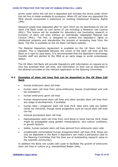terms under which the cell line is deposited and includes the terms under which the cell line is made available to accessors. *When ES cell lines are deposited the MDA should incorporate a statement on existing Intellectual Property Rights (IPR).*

Research grade lines deposited after 01 April 2010 can be distributed by the UK Stem Cell Bank under its own terms of use including a Research Use Licence (RUL). This licence will be available for laboratory use (excluding research in humans) of stem cell lines without an individually negotiated Material Use Licence (MUL). The RUL is designed to protect the depositor's rights to intellectual property and standardize the process of accessing lines from the Bank. The RUL is available on the UK Stem Cell Bank website.

The Material Deposition Agreement is available on the UK Stem Cell Bank website. This is negotiated between the owner of the stem cell lines and the Bank on a case by case basis. It is recommended that the depositor's technology transfer staff are alerted to the MDA at an early stage to avoid unnecessary delays.

The UK Stem Cell Bank will provide Depositors with information on request as to who has accessed their cell lines, and information on their use as described in the abstract provided on the relevant application to the Steering Committee.

## **6.2 Examples of stem cell lines that can be deposited in the UK Stem Cell Bank**

- · *human embryonic stem cell lines*
- human stem cell lines from extra-embryonic tissues (trophoblast and yolk sac endoderm)
- human embryonic germ cell lines
- · human mesenchymal stem cell lines and other somatic stem cell lines from any stage of development, if available
- human fetal / progenitor stem cell lines (N.B. fetal stem cells are neither clonal nor immortal, though some progenitors such as neural stem cell lines can be)
- · induced pluripotent stem cell lines
- haematopoietic stem cell lines from cord blood or bone marrow (N.B. these might be propagated using genetic manipulations, new culture conditions, or growth factors)
- · stable, human somatic stem cell lines derived from embryonic stem cells
- · conditionally immortalised human progenitor/stem cell lines (N.B. these can only be deposited in the Bank if depositors can make a persuasive case to the Steering Committee that the lines are of outstanding research value to the scientific community).

In addition the Bank will curate cells used to facilitate the growth of embryonic stem cell lines in culture (e.g. standardised feeder cells).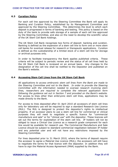## **6.3 Curation Policy**

For each cell line approved by the Steering Committee the Bank will apply its Banking and Curation Policy, established by its Management Committee and approved by the Steering Committee. This determines the level to which each deposit is progressed in terms of banking and testing. This policy is based on the duty of the bank to provide safe storage of a sample of each cell line approved by the Steering Committee, and also on the need to develop the scientific value of the UK Stem Cell Bank holdings.

The UK Stem Cell Bank recognises two forms of deposit: banking and curation. Banking is defined as the expansion of a stem cell line to form one or more stem cell banks for eventual release for research or therapeutic applications. Curation is defined as the custodianship of a limited stock of a stem cell line for storage or archival purposes only.

In order to facilitate transparency the Bank applies published criteria. These criteria will be subject to periodic review and the status of all cell lines held by the UK Stem Cell Bank is reviewed on an annual basis. Any changes to the designation of the cell line shall be notified to the Depositor and published on the Bank's website.

## **6.4 Accessing Stem Cell Lines from the UK Stem Cell Bank**

*All applications to access embryonic stem cell lines from the Bank are made to the Steering Committee and not to the Bank. In order to provide the Steering Committee with the information needed to oversee research involving stem lines, researchers are required to complete the relevant application form following the guidance set out in Section 7 and provided on the Bank's website.* For access to lines other than embryonic stem cell lines, applications may be made directly to the Bank.

For access to lines deposited after 01 April 2010 all accessors of stem cell lines only for laboratory use will be required to sign a standard Research Use Licence (RUL). The RUL is designed to protect the depositor's rights to intellectual property. If an accessor plans to use a stem cell line for commercial or clinical purposes they will need to negotiate a specific licence for "commercial manufacture and sale" or for "clinical use" with the depositor. These licences will set out the terms for exploitation of the stem cell line. IP holders will not be obliged to issue a Clinical Use Licence as a research grade component for each line would be available for research use. The Commercial Manufacture and Sale Licence should be subject to standard commercial negotiation between IP holder and any potential user and will not have any restrictions imposed by the Steering Committee.

For lines deposited prior to 31 March 2010, where the terms of deposit require the accessor to agree a Material Use Licence (MUL), the accessors will still have to negotiate the terms for that licence with the depositor. In addition they will have to sign the Material Access Agreement (MAA) supplied by the Bank.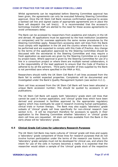Whilst agreements can be negotiated before Steering Committee approval has been given, the agreements can only be executed following Steering Committee approval. Once the UK Stem Cell Bank receives confirmation approval to access a banked cell line and signed copies of appropriate agreements are in place the Bank will despatch the cell line(s). It is recommended that the accessor's technology transfer staff are alerted to the need for these access agreements to avoid unnecessary delay.

The Bank can be accessed by researchers from academia and industry in the UK and abroad. All applications must be approved by the host institution (academia or companies) and for overseas applicants the same review procedures by the Steering Committee apply. Researchers accessing stem cell lines from the Bank must comply with legislation in the UK and the country where the research is to be performed and are expected to comply with this Code of Practice. Any change to the terms of the application approved by the Steering Committee should be discussed with the secretariat to the Steering Committee and may require a fresh application as approvals are given by the Steering Committee on a project by project basis. Where approval is given by the Steering Committee for use of a line in a consortium project or where there are multiple named collaborators, it is the responsibility of the lead applicant to ensure that the Code of Practice is adhered to by all the partners. Third party transfer of lines supplied by the Bank is not permitted save where specified in the MAA or RUL.

Researchers should notify the UK Stem Cell Bank if cell lines accessed from the Bank fail to exhibit expected properties. Complaints will be documented and investigated under the Bank's Quality Management System (see section 4.2.1).

Stem cell lines accessed from the UK Stem Cell Bank will have been allocated a unique Bank accession number; this should be quoted by accessors in all publications.

The UK Stem Cell Bank will supply both 'laboratory' grade stem cell lines that cannot be used in human application, and 'clinical' grade lines which have been derived and processed in facilities approved by the appropriate regulatory agency which may eventually be used in research involving human participation, clinical trials or human therapy. The Bank may also supply 'laboratory' grade subsets of 'clinical' grade cell lines specifically for non-clinical research (see section 6.5). It will be important therefore for accessors to specify in their application to the Steering Committee whether 'laboratory' or 'clinical' grade stem cell lines are requested. All stem cell lines available from the Bank in the early phase will be 'laboratory' grade.

## **6.5 Clinical Grade Cell Lines for Laboratory Research Purposes**

The UK Stem Cell Bank may bank cultures of 'clinical' grade cell lines and supply a 'laboratory' grade component of those lines for research purposes that do not involve human participation under the terms of the research use licence. Such 'laboratory' grade samples must not be developed for clinical use, and where the intent for use of the cells in humans becomes a reality it is expected that the researcher would obtain a sample of the 'clinical' grade stock of the respective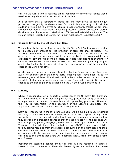cell line. At such a time a separate clinical research or commercial licence would need to be negotiated with the depositor of the line.

It is possible that a 'laboratory' grade cell line may prove to have unique properties that justify its development for use in humans. Any such cell line could in principle be re-derived to 'clinical' grade standard, though all cell lines intended for human application must be procured, tested, processed, stored, distributed and imported/exported at an HTA licensed establishment under The Human Tissue (Quality and Safety for Human Application) Regulations 2007.

## **6.6 Charges levied by the UK Stem Cell Bank**

The contract between the funders and the UK Stem Cell Bank makes provision for a schedule of charges for the provision of stem cell lines to users. The Steering Committee has indicated that the charges levied will be different for academic researchers and commercial users of the Bank with commercial users expected to pay the full economic costs. It is also expected that charging for services provided by the UK Stem Cell Bank will be in line with general principles applied by funding bodies and will allow for recovery of some of the operating costs of the Bank over time.

A schedule of charges has been established by the Bank, but as of December 2009, no charges other than third party shipping fees, have been levied for research grade cell lines. This situation will be kept under review. An up to date schedule of charges (including shipment charges) as well as notification of any change to the Bank's policy is available on the UK Stem Cell Bank website.

## **6.7 Liability**

NIBSC is responsible for all aspects of operation of the UK Stem Cell Bank and for any breaches in Bank operating standards, procedures or quality control arrangements that are not in compliance with prevailing practices. However, the MRC is responsible for the operation of the Steering Committee, the application process and the decisions emanating from it.

Stem cell lines stored in the UK Stem Cell Bank will be supplied to users without warranty of merchantability or fitness for a particular purpose or any other warranty, express or implied, and without any representation or warranty that they are free of extraneous agents or that the use or supply of the cell lines will not infringe any patent, copyright, trademark or other right of any third party. Therefore to the fullest extent permitted by Law, NIBSC will not accept liability for any claims resulting from the research conducted on the stem cells and stem cell lines obtained from the Bank by a user. Liability in such claims will be in accordance with the end user, user and depositor agreements for the relevant cell lines to the extent that users will indemnify NIBSC from any issues arising out of usage.

Researchers accessing banked stem cell lines will be required to agree a Research Use Licence or a Materials Access Agreement (where lines were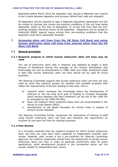deposited before March 2010 the depositor may require a Materials Use Licence to be in place between depositor and accessor before their cells are released).

All depositors will be required to sign a Materials Deposition Agreement and will be invited to disclose any known pre-existing conditions of the cell lines being deposited, either at the time of deposition, or at the first time that the pre existing condition becomes known to the depositor. Depositors will be invited to indemnify NIBSC against issues arising from pre-existing conditions that the depositor could have reasonably foreseen.

# **7. Accessing stem cell lines from the UK Stem Cell Bank and using human embryonic stem cell lines from sources other than the UK Stem Cell Bank**

## **7.1 General principles**

## **7.1.1 Research projects in which human embryonic stem cell lines may be used**

*The use of embryonic stem cells in research was debated at length in both Houses of Parliament during the passage of the Human Fertilisation and Embryology Act and its amendments in 1990, 2001 and 2008. Parliament made it clear that human embryonic stem celllines should not be used for trivial purposes.* 

*The Steering Committee expects that human embryonic stem cell lines are only used by bona fide research groups for justified and valuable purposes that reflect the requirements of the law relating to this area. This is:* 

- *a) research which increases the knowledge about the development of embryos or has the long term goal of helping to increase knowledge about serious diseases and their treatment (as set out in the 1990 Act as amended by the 2008 HFE Bill);*
- *b) basic cell research which underpins these aims (as recommended in the House of Lords Report 2002);*
- *c) development of cell based therapies for clinical trials in respect of serious human diseases.*

*The Steering Committee further recognises the importance of training of staff using human embryonic stem cell lines and therefore the requirement on occasion to use stem cell lines for training purposes.*

## **7.1.2 Peer Review**

*It is normally expected that the research projects for which human embryonic stem cell lines are used have been subjected to independent scientific peer review. However, peer review is not a precondition for Steering Committee approval. For instance researchers should have the opportunity to access human embryonic stem cell lines in order to generate preliminary data for grant applications, while development projects in the commercial sector are not usually subject to independent peer review.*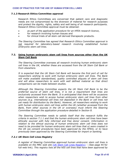## **7.1.3 Research Ethics Committee approval**

Research Ethics Committees are concerned that patient care and diagnostic needs are not compromised by the diversion of material for research purposes and protect the dignity, rights, safety and well being of all research participants. Research Ethics Committee approval must be obtained:

- · *as part of the application procedure for an HFEA research licence*,
- · for research involving human tissues and
- for clinical trials of all stem cell derived therapeutic products.

*The Steering Committee has agreed that Research Ethics Committee approval is not required for laboratorybased research involving established human embryonic stem cell lines.*

## **7.2. Using human embryonic stem cell lines from sources other than the UK Stem Cell Bank**

*The Steering Committee oversees all research involving human embryonic stem cell lines in the UK, whether these are accessed from the UK Stem Cell Bank or from elsewhere.* 

*It is expected that the UK Stem Cell Bank will become the first port of call for researchers wishing to work with human embryonic stem cell lines. The Bank will make available standardised, quality controlled aliquots of stem celllines and will allow researchers to work with well defined material so that direct comparisons can be made between studies.* 

*Although the Steering Committee expects the UK Stem Cell Bank to be the preferred source of stem cell lines, it is not a requirement that lines are exclusively accessed from the Bank. It is anticipated that there will be occasions when researchers wish to access human embryonic stem cell lines from other sources (e.g. international cell lines not deposited in the Bank or cell lines not yet ready for distribution by the Bank). However, all researchers wishing to work with human embryonic stem cell lines within the UK (whether accessed from the Bank, from other sources in the UK or oversees) must inform the Steering Committee through the application procedure detailed in Section 8.* 

*The Steering Committee needs to satisfy itself that the research fulfils the criteria in section 7.1.1 and that the human embryonic stem cell lines have been ethically sourced with fully informed and free donor consent. Information in relation to the ethical sourcing of human embryonic stem cell lines does not need to be provided for human embryonic stem cell lines that a) were created in the UK (as consent procedures have been approved by the HFEA), or b) have previously been approved by the Steering Committee for import or banking.*

## *7.2.1 UK Stem Cell Lines Registry*

*A register of Steering Committee approved human embryonic stem cell lines is available on the MRC web site* (UK Stem Cell [Lines Registry\)](http://www.mrc.ac.uk/Utilities/Documentrecord/index.htm?d=MRC003259) – (See page 44 for full web link). *This registry lists all the hES cell lines that have been approved by*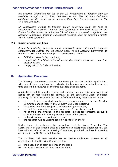*the Steering Committee for use in the UK, irrespective of whether they are available through the UK Stem Cell Bank or not. The UK Stem Cell Bank catalogue provides details on the subset of these lines that are deposited in the UK Stem Cell Bank.* 

*UK researchers wishing to transfer human embryonic stem cell lines to collaborators for a project that has been approved by the HFEA as part of the licence for the derivation of human ES cell lines do not need to apply to the Steering Committee, although subsequent research uses for different projects would require approval.*

## **7.3 Export of stem cell lines**

*Researchers wishing to export human embryonic stem cell lines to research establishments outside the UK should apply to the Steering Committee as outlined in Section 8. Research performed oversees should:*

- · *fulfil the criteria in Section 7.1.1;*
- · *comply with legislation in the UK and in the country where the research is performed and*
- · *comply with this Code of Practice.*

# **8. Application Procedure**

The Steering Committee convenes four times per year to consider applications, with two of these meetings held virtually. Applications can be submitted at any time and will be reviewed at the first available decision point.

Applications that fit specific criteria and therefore do not raise any significant issues can be fast tracked for approval by the secretariat under delegated authority. For this procedure to occur, *all* of the following criteria must be met:

- · the cell line(s) requested has been previously approved by the Steering Committee and is listed in the UK Stem Cell Lines Registry;
- the project has been subject to independent peer-review;
- the cell lines requested are only to be used for in vitro research;
- · no animals are involved in the research, except for teratoma assays in small mammals with the appropriate Home Office licence;
- · no hybrids/chimeras are involved; and
- the research will be undertaken only at  $site(s)$  in the UK

Under these circumstances this procedure typically takes 2 weeks. The Secretariat can also amend existing approvals to incorporate additional hES cell lines without referral to the Steering Committee, provided the lines in question are listed in the UK Stem Cell Registry.

The UK Stem Cell Bank website has an on-line application process for all applications to the Steering Committee for:

- a) the deposition of stem cell lines in the Bank,
- b) for access to stem cell lines from the Bank,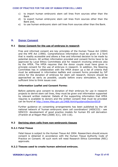- c) to import human embryonic stem cell lines from sources other than the Bank
- d) to export human embryonic stem cell lines from sources other than the Bank and,
- e) to use human embryonic stem cell lines from sources other than the Bank.

# **9. Donor Consent**

## **9.1 Donor Consent for the use of embryos in research**

Free and informed consent are key principles of the Human Tissue Act (2004) and the HFE Act (1990). Comprehensive information must be given in a form that is readily accessible and allows a free and informed decision to be made by potential donors. All written information provided and consent forms have to be approved by Local Ethics Committees and for research involving embryos also by the HFEA. The HFEA requires that the donor couple must have given in principle consent for the use of embryos in research. In addition, the Steering Committee has in collaboration with the HFEA drawn up a list of criteria that must be addressed in information leaflets and consent forms provided by IVF clinics for the donation of embryos for stem cell research. Donors should be approached as early as possible, usually before ovary stimulation, to allow sufficient time to think issues over.

## **Information Leaflet and Consent Forms:**

Before patients give consent to donation of their embryos for use in research projects to derive stem cell lines, they must be given oral information supported by relevant written material. Details of the supporting information that HFEA requires is available to donors and the written consent that must be provided can be found at [http://www.hfea.gov.uk/3468.html#guidanceSection5018](http://www.hfea.gov.uk/3468.html)

Further guidance on consenting arrangements has been published by the UK national network of 'human embryonic stem cell coordinators' (HESCCO) - see hESCCO: development of good practice models for human ES cell derivation (Franklin et al Regen Med (2008) 3(1), 105-116).

## **9.2 Deriving stem cells from nonembryonic tissues**

## **9.2.1 Fetal Tissue**

Fetal tissue is subject to the Human Tissue Act 2004. Researchers should ensure consent is obtained in accordance with the Human Tissue Authority Code of Practice on Consent. All such work will need Research Ethics Committee (REC) approvals.

## **9.2.2 Tissues used to create human admixed embryos.**

**VERSION 5 (April 2010) Page 32 of 45**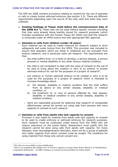The HFE Act 2008 contains provisions relating to consent for the use of gametes or cells to create human admixed embryos (see section 3.3). There are different requirements depending upon the source of the cells used and when they were collected.

i) **Existing Holdings of Tissue (held before the commencement date of the 2008 Act <sup>3</sup>).** These cells can be used without specific consent providing that they were already being lawfully stored for research purposes (which includes compliance with the Human Tissue Act 2004) and that the research is conducted under an HFEA licence and with appropriate REC approval.

## ii) **Gametes or cells from children (under 18 years)**

Such material can be used to create embryos for research subject to strict safeguards and under licence from the HFEA. This provision was included to ensure that disorders which are lethal in childhood are not excluded from embryo research, and in particular stem cell research. The requirements are that:

- $\circ$  the child suffers from, or is likely to develop, a serious disease, a serious physical or mental disability or any other serious medical condition,
- o the child is not competent to deal with the issue of consent to the use of its cells to bring about the creation in vitro of an embryo or human admixed embryo for use for the purposes of a project of research<sup>4</sup>,
- o any embryo or human admixed embryo to be created in vitro is to be used for the purposes of a project of research which is intended to increase knowledge about:
	- a) the disease, disability or medical condition that the child suffers from as above or any similar disease, disability or medical condition, or
	- b) the treatment of, or care of persons affected by, that disease, disability or medical condition or any similar disease, disability or medical condition,
- o there are reasonable grounds for believing that research of comparable effectiveness cannot be carried out using cells from persons who have capacity to consent to such research.

### iii) **Gametes or cells from adults who lack capacity to consent**

Provision is also made for material from adults who lack capacity to consent to be used to create embryos or admixed embryos for research purposes. Such research must be conducted under licence from the HFEA who will require assurance on the points below. Researchers must justify why the research cannot be done using cells from adults with capacity. For many diseases, even neurodegenerative disorders, there will be a group of patients who retain capacity from whom consent could be sought. The conditions for using material from those who cannot consent are:

 $3$  This date was not available at time of publication  $4$  There is an assumption that children over 16 will have capacity to consent unless shown otherwise. In Scotland there is legislation defining this – see MRC Guidance on research involving children for further details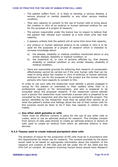- $\circ$  The patient suffers from, or is likely to develop, a serious disease, a serious physical or mental disability or any other serious medical condition,
- $\circ$  They lack capacity to consent to the use of human cells to bring about the creation in vitro of an embryo or human admixed embryo for use for the purposes of a project of research,
- o The person responsible under the licence has no reason to believe that the patient had refused such consent at a time when s/he had that capacity,
- $\circ$  it appears unlikely that the patient will at some time have that capacity,
- $\circ$  any embryo or human admixed embryo to be created in vitro is to be used for the purposes of a project of research which is intended to increase knowledge about:
	- a) the disease, disability or medical condition mentioned above or any similar disease, disability or medical condition, or
	- b) the treatment of, or care of persons affected by, that disease, disability or medical condition or any similar disease, disability or medical condition,
- $\circ$  there are reasonable grounds for believing that research of comparable effectiveness cannot be carried out if the only human cells that can be used to bring about the creation in vitro of embryos or human admixed embryos for use for the purposes of the project are the human cells of persons who have capacity to consent to this.

In order to use such cells the researcher must identify a person engaged in caring for the patient or interested in their welfare other than in a professional capacity or for remuneration, and who is prepared to be consulted about the proposed research. If the researcher cannot identify such a person the researcher must nominate a person who is prepared to be consulted by the researcher and who has no connection with the project. The person identified by the researcher must then be asked their opinion as to what the patient's wishes and feelings about the use of their human cells for this purpose would be likely to be if they had capacity in relation to the matter.

## iv) **Any other adult gametes or cells**.

There must be effective consent in place for the use of any other cells to create, store or use an admixed embryo for research. This includes consent from donors of cells used directly to create an admixed embryo or donors of cells used to create an embryo from which an admixed embryo is then derived.

## **9.2.3 Tissues used to create induced pluripotent stem cells**

The donation of tissue for the production of iPS cells must be in accordance with the requirements for tissue use for research. The consent provided by the donor would need to be based on appropriate information about the intention of the research and creation of iPS cells and will fall under the HT Act 2004 and the HTA CoP on consent. All research involving human tissue should have Research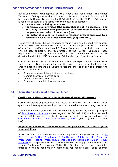Ethics Committee (REC) approval but this is not a legal requirement. The Human Tissue Act 2004 applies to the UK; most of it is not applicable in Scotland which has separate Human Tissue (Scotland) Act 2006. Under the 2004 HT Act consent is required to store or use tissue with the following exceptions:

- · **tissue is from a living person and**
- · **the tissue is anonymised (the researcher is not in possession, and not likely to come into possession of information that identifies the person from which it has come;) and**
- · **the material is used for a specific research project approved by a recognised research ethics committee (e.g. NHS REC).**

Tissue from children who lack capacity to consent can only be used with consent from a person with parental responsibility or, if no such person exists, someone of a defined 'qualifying relationship'. Tissue from adults who lack capacity can only be used subject to the requirements of the relevant legislation. These requirements are broadly similar to those described above in section 9.1 and are described in detail in MRC Guidance on Adults who Lack Capacity to Consent.

Consent to use tissue to create iPS cells should be explicit about the nature of such research. Depending on the specific project researchers should consider ensuring specific consent is sought for areas that may be of particular interest to donors. These include:

- Potential commercial applications of cell lines,
- · Genetic analysis of derived cells,
- Use in animal research, and
- Potential use in clinical transplantation.

# **10. Derivation and use of Stem Cell Lines**

#### **10.1 Quality and safety standards in fundamental stem cell research**

Careful recording of procedures and results is essential for the verification of quality and integrity of research and can prove invaluable in resolving problems.

Those working with stem cell lines are expected to follow the general principles of Good [Research Practice](http://www.mrc.ac.uk/Ourresearch/Ethicsresearchguidance/Researchpractice/MRC002539) – (See page 43 for full web link) (Medical Research Council, 2000) as well as best practice for cell culture procedures (UK [Coordinating Committee](http://www.nature.com/bjc/journal/v82/n9/pdf/6691169a.pdf) on Cancer Research,1999) – (See page 45 for full web link)

## **10.2 Regulation governing the derivation and processing of clinical grade stem cell lines**

All tissues and cells intended for human application are governed by the EU Directive on Setting Standards of Quality and Safety for the Donation, Procurement, Testing, Processing, Storage and Distribution of Human Tissues [and Cells – transposed](http://eur-lex.europa.eu/smartapi/cgi/sga_doc?smartapi!celexapi!prod!CELEXnumdoc&lg=en&numdoc=32004L0023&model=guichett) into the UK as the Human Tissue (Quality and Safety for Human Application) regulation 2007. The Directive covers haematopoietic, umbilical cord and bone marrow stem cells, reproductive cells (eggs, sperm),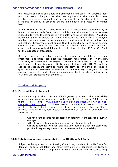fetal tissues and cells and adult and embryonic stem cells. The Directive does not cover research for purposes other than application to the human body, e.g. in vitro research or in animal models. The aim of the Directive is to lay down standards of quality in order to ensure a high level of protection of human health.

A key principle of the EU Tissue Directive is the requirement of traceability of human tissues and cells from donor to recipient and vice versa in order to make it possible to verify the compliance with quality and safety standards. A cell line developed *de novo* should be given a unique and unambiguous identifying number that must preserve donor anonymity and be used in all procedures and publications. Researchers must ensure that it is possible to trace cryopreserved stem cell lines to the primary cells and the donated human tissue, and must ensure that an anonymised link can be put in place with the UK Stem Cell Bank for the purposes of traceability

Stem cells and stem cell lines intended for human use must be derived and processed in facilities that meet the statutory requirements of for the HTA Directions, as a minimum, the stages of donation procurement and testing. The requirements of good (pharmaceutical) manufacturing practice (GMP) should be applied to subsequent activities where the stem cell and stem cell lines in question have a reasonable expectation of clinical utility. The good practice standards applicable under these circumstances should be discussed with the HTA and GMP standards with the MHRA.

# **11. Intellectual Property**

## **11.1 Patentability of stem cells**

A notice setting out the UK Patent Office's general practice on the patentability of inventions involving human stem cells, published in February 2009 may be found at http://www.ipo.gov.uk/pro-types/pro-patent/p-law/p-pn/p-pnstemcells-20090203.htm; this states that each case will be treated on its own merits in the light of all relevant circumstances, and stresses that the Office's practice is subject to any future guidance from the UK courts. In summary, the Patent Office:

- will not grant patents for processes of obtaining stem cells from human embryos,
- will not grant patents for human totipotent stem cells and
- will grant patents for inventions involving human pluripotent stem cells provided they satisfy the normal requirements for patentability.

## **11.2 Intellectual property generated by the UK Stem Cell Bank**

Subject to the approval of the Steering Committee, the staff of the UK Stem Cell Bank will perform validation and other tests on newly deposited cell lines, as well as research aimed at improving Banking processes and procedures (e.g.

#### **VERSION 5 (April 2010) Page 36 of 45**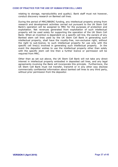relating to storage, reproducibility and quality). Bank staff must not however, conduct discovery research on Banked cell lines.

During the period of MRC/BBSRC funding, any intellectual property arising from research and development activities carried out pursuant to the UK Stem Cell Bank's operation will be assigned to MRC for the purposes of protection and exploitation. Net revenues generated from exploitation of such intellectual property will be used solely for supporting the operation of the UK Stem Cell Bank. When an invention is dependent on a specific cell line, the owners of any Banked stem cell lines used by the UK Stem Cell Bank in generating such intellectual property, shall have the royalty-free, non-exclusive right, without the right to sub-licence, to such intellectual property for use only with the specific cell line(s) involved in generating such intellectual property. In the event the depositor wishes to use the intellectual property other than solely with the specific stem cell line then a further licence or permission will be required from MRC.

Other than as set out above, the UK Stem Cell Bank will not take any direct interest in intellectual property embodied in deposited cell lines, and any legal agreements involving the Bank will incorporate this principle. Furthermore, the UK Stem Cell Bank must not transfer, transmit or in any other way disclose commercially confidential information about banked cell lines to any third party, without prior permission from the depositor.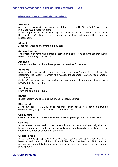## **12. Glossary of terms and abbreviations**

#### **Accessor**

A researcher who withdraws a stem cell line from the UK Stem Cell Bank for use in an approved research project.

(Note: applications to the Steering Committee to access a stem cell line from the UK Stem Cell Bank must be made by the host institution rather than the researcher).

#### **Aliquot**

A defined amount of something e.g. cells.

#### **Anonymisation**

The process of removing personal names and data from documents that would reveal the identity of a person.

#### **Archived**

Data or samples that have been preserved against future need.

#### **Auditing**

A systematic, independent and documented process for obtaining evidence to determine the extent to which the Quality Management System requirements are fulfilled.

(Note: Guidance on auditing quality and environmental management systems is provided in ISO 19011).

## **Autologous**

From the same individual.

#### **BBSRC**

Biotechnology and Biological Sciences Research Council

#### **Blastocyst**

A hollow ball of 50-100 cells reached after about five days' embryonic development just prior to implantation in the uterus.

#### **Cell culture**

Cells maintained in the laboratory by repeated passage in a sterile container.

## **Cell line**

A well characterised cell culture, normally derived from a single cell, that has been demonstrated to be phenotypically and genotypically consistent over a specified number of population doublings.

#### **Clinical grade**

A stem cell line appropriate for use in clinical research and application, i.e. it has been derived under conditions of Good Manufacturing Practice (GMP) and has passed rigorous safety testing to allow it to be used in studies involving human participation.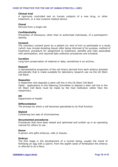#### **Clinical trial**

A rigorously controlled test on human subjects of a new drug, or other treatment, or a new invasive medical device.

#### **Clonal**

Derived from a single cell.

#### **Confidentiality**

Prevention of disclosure, other than to authorised individuals, of a participant's identity.

#### **Consent**

The voluntary consent given by a patient (or next of kin) to participate in a study (which may include donating tissue) after being informed of its purpose, method of treatment, procedure for assignment to treatment, benefits and risks associated with participation, and required data collection procedures and schedule.

#### **Curation**

Long term preservation of material or data, sometimes in an archive.

#### **Deposit**

A representative proportion of the cell line(s) derived from each embryo donated altruistically that is made available for laboratory research use via the UK Stem Cell Bank.

#### **Depositor**

A researcher who deposits a stem cell line in the UK Stem Cell Bank (Note: applications to the Steering Committee to deposit a stem cell line in the UK Stem Cell Bank must be made by the host institution rather than the researcher).

#### **DH**

Department of Health

#### **Differentiation**

The process by which a cell becomes specialised to its final function.

#### **Diploid**

Containing two sets of chromosomes.

#### **Documented procedures**

Procedures that have been tested and optimised and written up in an operating manual for others to use.

#### **Donor**

A person who gifts embryos, cells or tissues.

#### **Embryo**

The first stage in the development of a human being, usually the result of fertilising an egg with a sperm; from the eighth week of fertilisation the embryo is referred to as a fetus.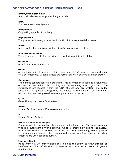### **Embryonic germ cells**

Stem cells derived from primordial germ cells.

#### **EMA**

European Medicines Agency

#### **Exogenous**

Originating outside of the body.

### **Exploitation**

The process of turning a patented invention into a commercial success.

#### **Fetus**

A developing human from eight weeks after conception to birth.

## **Full economic costs**

The all inclusive cost of an activity, i.e. producing a finished cell line.

## **Gamete**

A male sperm or female egg.

#### **Gene**

A functional unit of heredity that is a segment of DNA located in a specific site on a chromosome. A gene directs the formation of an enzyme or other protein.

#### **Genotype**

The genetic constitution of an organism. This information is used as a "blueprint" or set of instructions for building and maintaining the organism. The instructions are located within the DNA of cells and are written in a coded language (the genetic code); they are copied at the time of cell division or reproduction and are passed from one generation to the next.

## **GTAC**

Gene Therapy Advisory Committee

## **HFEA**

Human Fertilisation and Embryology Authority

## **HTA**

Human Tissue Authority

#### **Human Admixed Embryos**

Embryos which contain both human and animal material. The most common type is a cytoplasmic hybrid embryo, which is created by adding the nucleus from a mature human cell (such as a skin cell) to an animal egg cell emptied of its nucleus, via a process called somatic cell nuclear transfer. Cytoplasmic hybrid embryos are 99.9 per cent human.

#### **Immortalized**

Made immortal. An immortalized cell line has the ability to grow through an indefinite number of divisions in culture, normally as a result of genetic manipulation.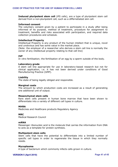**Induced pluripotent stem cell** (iPS cells), are a type of [pluripotent](http://en.wikipedia.org/wiki/Pluripotent) [stem cell](http://en.wikipedia.org/wiki/Stem_cell) derived from a non-[pluripotent](http://en.wikipedia.org/wiki/Pluripotent) cell, such as a differnetiated skin cell.

### **Informed consent**

The voluntary consent given by a patient to participate in a study after being informed of its purpose, method of treatment, procedure for assignment to treatment, benefits and risks associated with participation, and required data collection procedures and schedule.

## **Intellectual Property**

Intellectual Property is any product of the human intellect that is unique, novel and unobvious and has some value in the market place.

(Note: the employer of a researcher who derives a stem cell line is normally the owner of any intellectual property relating to that cell line)

## **IVF**

In vitro fertilisation; the fertilisation of an egg by a sperm outside of the body.

#### **Laboratory grade**

A stem cell line appropriate for use in laboratory-based research but not for clinical application, i.e. it has not been derived under conditions of Good Manufacturing Practice (GMP).

#### **Liability**

The state of being legally obliged and responsible.

#### **Marginal costs**

The amount by which production costs are increased as a result of generating one additional unit of output.

#### **Mesenchymal stem cells**

Rare stem cells present in human bone marrow that have been shown to differentiate into a variety of different cell types in culture.

#### **MHRA**

Medicines and Healthcare products Regulatory Agency

## **MRC**

Medical Research Council

#### **mRNA**

Messenger ribonucleic acid is the molecule that carries the information from DNA to acts as a template for protein synthesis.

#### **Multipotent stem cells**

Stem cells that have the potential to differentiate into a limited number of specific cell types in order to regenerate the tissue in which they normally reside.

#### **Mycoplasma**

A type of bacterium which commonly infects cells grown in culture.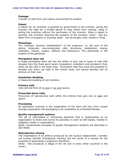#### **Passage**

Transfer of cells from one culture environment to another.

#### **Patent**

A patent for an invention is granted by government to the inventor, giving the inventor the right for a limited period to stop others from making, using or selling the invention without the permission of the inventor. When a patent is granted, the invention becomes the property of the inventor, which like any other form of property or business asset - can be bought, sold, rented or hired.

#### **Phenotype**

The "outward, physical manifestation" of the organism; i.e. the sum of the atoms, molecules, macromolecules, cells, structures, metabolism, energy utilization, tissues, organs, reflexes and behaviours. The phenotype is the product of the genotype.

#### **Pluripotent stem cell**

A single pluripotent stem cell has the ability to give rise to types of cells that develop from the three germ layers (mesoderm, endoderm and ectoderm) from which all the cells in the body arise. Pluripotent cells thus have the potential to develop into every cell type in the human body, but cannot develop into an embryo on their own.

#### **Population doubling**

A measured doubling of cell numbers.

#### **Primary cells**

Cells derived from an in vivo or ex vivo source.

#### **Primordial Germ Cells**

Precursors of reproductive cells within the embryo that give rise to eggs and sperm.

#### **Processing**

All operations involved in the preparation of the stem cell line, from receipt through preparation and packaging to its completion as a finished therapy.

#### **Quality management systems**

The set of interrelated or interacting elements that is implemented by an organisation to direct and control its activities in order to fulfil stated, implied or obligatory needs or expectations.

(Note: fundamental principles of Quality Management Systems are described in ISO 9000)

#### **Reproductive cloning**

The implantation of an embryo produced by cell nucleus replacement / somatic cell nuclear transfer (therapeutic cloning) into the womb of a woman for the purposes of generating a pregnancy therefrom.

(Note: this procedure is illegal in the UK and in many other countries in the world.)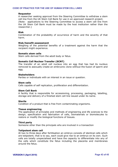#### **Requestor**

A researcher seeking approval from the Steering Committee to withdraw a stem cell line from the UK Stem Cell Bank for use in an approved research project. (Note: applications to the Steering Committee to access a stem cell line from the UK Stem Cell Bank must be made by the host institution rather than the researcher.)

#### **Risk**

Combination of the probability of occurrence of harm and the severity of that harm.

#### **Risk/benefit assessment**

Weighing of the potential benefits of a treatment against the harm that the recipient might experience.

### **Somatic stem cells**

Stem cells derived from the adult body or fetus.

#### **Somatic Cell Nuclear Transfer (SCNT)**

The transfer of an adult cell nucleus into an egg that has had its nucleus removed to asexually create an embryonic clone without the fusion of sperm and egg**.**

## **Stakeholders**

Parties or individuals with an interest in an issue or question.

#### **Stem cells**

Cells capable of self replication, proliferation and differentiation.

#### **Stem Cell Bank**

A facility that is responsible for accessioning, processing, packaging, labelling, storage and delivery of a finished stem cell line issued under its name.

#### **Sterile**

Condition of a product that is free from contaminating organisms.

#### **Tissue engineering**

The application of principles and methods of engineering and life sciences to the design, specification and fabrication of cells, biomaterials or biomolecules to restore or modify the biological functions of tissues.

## **Third party**

Someone other than the principals who are involved in a transaction

### **Totipotent stem cell**

At two to three days after fertilisation an embryo consists of identical cells which are totipotent; that is to say, each could give rise to an embryo on its own. Such cells are totally unspecialised and have the capacity to differentiate into any of the cells which constitute the fetus including the placenta and membranes around the fetus.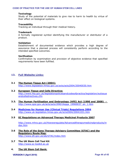#### **Toxicology**

Study of the potential of materials to give rise to harm to health by virtue of their effect on biological systems.

### **Traceability**

Tracking an individual through their medical history.

### **Trademark**

A formally registered symbol identifying the manufacturer or distributor of a product.

### **Validation**

Establishment of documented evidence which provides a high degree of assurance that a planned process will consistently perform according to the intended specified outcomes.

## **Verification**

Confirmation by examination and provision of objective evidence that specified requirements have been fulfilled.

# **13. Full Website Links:**

- **3.1 The Human Tissue Act (2004):** <http://www.legislation.hmso.gov.uk/acts/acts2004/20040030.htm>
- **3.2 European Tissue and Cells Directive:** http://www.hta.gov.uk/legislationpoliciesandcodesofpractice/legislation/eutissue andcellsdirectives.cfm
- **3.3. The Human [Fertilisation and Embryology \(HFE\) Act](http://www.hmso.gov.uk/acts/acts1990/Ukpga_19900037_en_1.htm) (1990 and 2008)**  [http://www.opsi.gov.uk/acts/acts1990/Ukpga\\_19900037\\_en\\_1.htm](http://www.opsi.gov.uk/acts/acts1990/Ukpga_19900037_en_1.htm)
- **3.4 [Medicines for Human Use \(Clinical Trials\) Regulations 2004](http://www.uk-legislation.hmso.gov.uk/si/si2004/20041031.htm)** http://www.uk-legislation.hmso.gov.uk/si/si2004/20041031.htm

## **3.5 EC Regulations on Advanced Therapy Medicinal Products 2007**

[http://www.mhra.gov.uk/Howweregulate/Advancedtherapymedicinalproducts/in](http://www.mhra.gov.uk/Howweregulate/Advancedtherapymedicinalproducts/index.htm) dex.htm

- **3.6 The Role of [the Gene Therapy Advisory Committee](http://www.dh.gov.uk/ab/GTAC/index.htm) (GTAC) and the Regulatory Route Map:** <http://www.dh.gov.uk/ab/GTAC/index.htm>
- **3.7 The UK Stem Cell Tool Kit**  http://www.sc-toolkit.ac.uk
- **4. The UK Stem Cell Bank:**

**VERSION 5 (April 2010) Page 44 of 45**